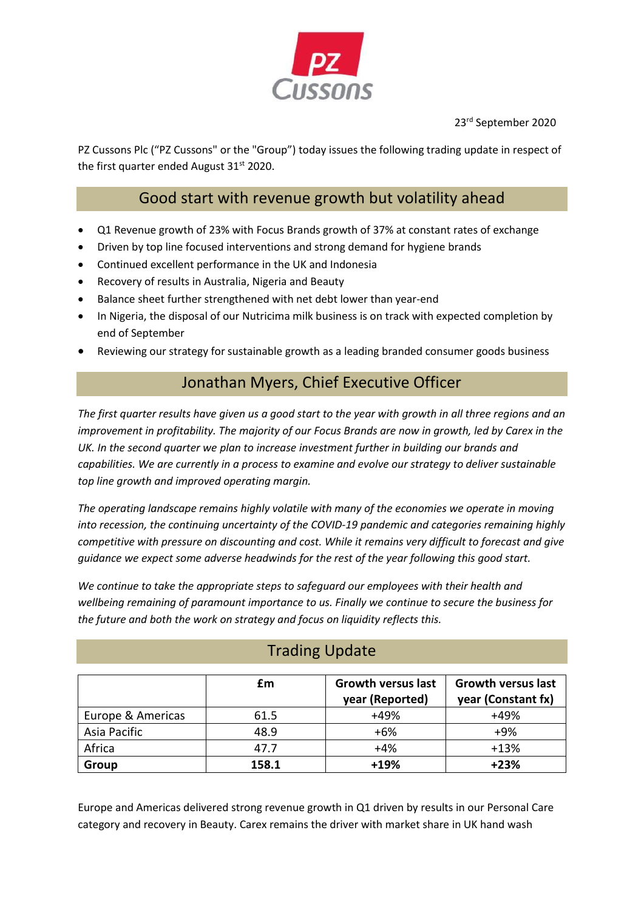

23rd September 2020

PZ Cussons Plc ("PZ Cussons" or the "Group") today issues the following trading update in respect of the first quarter ended August  $31<sup>st</sup>$  2020.

### Good start with revenue growth but volatility ahead

- Q1 Revenue growth of 23% with Focus Brands growth of 37% at constant rates of exchange
- Driven by top line focused interventions and strong demand for hygiene brands
- Continued excellent performance in the UK and Indonesia
- Recovery of results in Australia, Nigeria and Beauty
- Balance sheet further strengthened with net debt lower than year-end
- In Nigeria, the disposal of our Nutricima milk business is on track with expected completion by end of September
- Reviewing our strategy for sustainable growth as a leading branded consumer goods business

# Jonathan Myers, Chief Executive Officer

*The first quarter results have given us a good start to the year with growth in all three regions and an improvement in profitability. The majority of our Focus Brands are now in growth, led by Carex in the UK. In the second quarter we plan to increase investment further in building our brands and capabilities. We are currently in a process to examine and evolve our strategy to deliver sustainable top line growth and improved operating margin.*

*The operating landscape remains highly volatile with many of the economies we operate in moving into recession, the continuing uncertainty of the COVID-19 pandemic and categories remaining highly competitive with pressure on discounting and cost. While it remains very difficult to forecast and give guidance we expect some adverse headwinds for the rest of the year following this good start.* 

*We continue to take the appropriate steps to safeguard our employees with their health and wellbeing remaining of paramount importance to us. Finally we continue to secure the business for the future and both the work on strategy and focus on liquidity reflects this.*

|                   | £m    | <b>Growth versus last</b><br>year (Reported) | <b>Growth versus last</b><br>year (Constant fx) |
|-------------------|-------|----------------------------------------------|-------------------------------------------------|
| Europe & Americas | 61.5  | $+49%$                                       | +49%                                            |
| Asia Pacific      | 48.9  | $+6%$                                        | +9%                                             |
| Africa            | 47.7  | $+4%$                                        | $+13%$                                          |
| Group             | 158.1 | $+19%$                                       | $+23%$                                          |

# Trading Update

Europe and Americas delivered strong revenue growth in Q1 driven by results in our Personal Care category and recovery in Beauty. Carex remains the driver with market share in UK hand wash